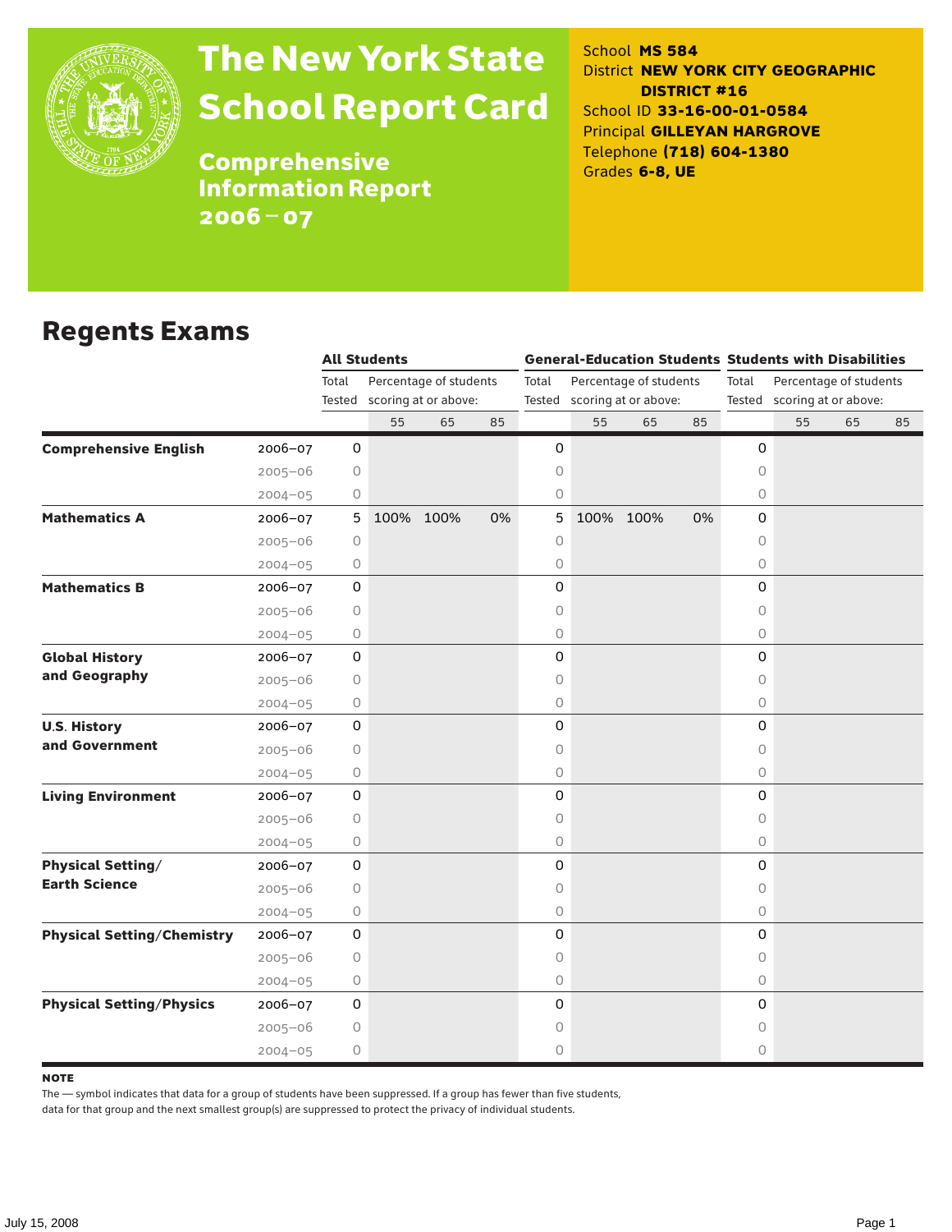

# The New York State School Report Card

School **MS 584** District **NEW YORK CITY GEOGRAPHIC DISTRICT #16** School ID **33-16-00-01-0584** Principal **GILLEYAN HARGROVE** Telephone **(718) 604-1380** Grades **6-8, UE**

**Comprehensive** Information Report 2006–07

### Regents Exams

|                                                  |                     | <b>All Students</b> |                             |    |                                 | <b>General-Education Students Students with Disabilities</b> |           |    |                     |                        |                             |    |  |
|--------------------------------------------------|---------------------|---------------------|-----------------------------|----|---------------------------------|--------------------------------------------------------------|-----------|----|---------------------|------------------------|-----------------------------|----|--|
|                                                  | Total               |                     | Percentage of students      |    | Percentage of students<br>Total |                                                              |           |    | Total               | Percentage of students |                             |    |  |
|                                                  |                     |                     | Tested scoring at or above: |    |                                 | Tested scoring at or above:                                  |           |    |                     |                        | Tested scoring at or above: |    |  |
|                                                  |                     | 55                  | 65                          | 85 |                                 | 55                                                           | 65        | 85 |                     | 55                     | 65                          | 85 |  |
| <b>Comprehensive English</b><br>2006-07          | 0                   |                     |                             |    | 0                               |                                                              |           |    | 0                   |                        |                             |    |  |
| $2005 - 06$                                      | 0                   |                     |                             |    | 0                               |                                                              |           |    | 0                   |                        |                             |    |  |
| $2004 - 05$                                      | 0                   |                     |                             |    | 0                               |                                                              |           |    | 0                   |                        |                             |    |  |
| <b>Mathematics A</b><br>2006-07                  | $5\phantom{.0}$     |                     | 100% 100%                   | 0% | 5                               |                                                              | 100% 100% | 0% | 0                   |                        |                             |    |  |
| $2005 - 06$                                      | 0                   |                     |                             |    | 0                               |                                                              |           |    | 0                   |                        |                             |    |  |
| $2004 - 05$                                      | 0                   |                     |                             |    | 0                               |                                                              |           |    | 0                   |                        |                             |    |  |
| <b>Mathematics B</b><br>2006-07                  | 0                   |                     |                             |    | 0                               |                                                              |           |    | 0                   |                        |                             |    |  |
| $2005 - 06$                                      | 0                   |                     |                             |    | 0                               |                                                              |           |    | 0                   |                        |                             |    |  |
| $2004 - 05$                                      | 0                   |                     |                             |    | 0                               |                                                              |           |    | $\circ$             |                        |                             |    |  |
| <b>Global History</b><br>2006-07                 | 0                   |                     |                             |    | 0                               |                                                              |           |    | $\mathsf{O}\xspace$ |                        |                             |    |  |
| and Geography<br>$2005 - 06$                     | 0                   |                     |                             |    | 0                               |                                                              |           |    | 0                   |                        |                             |    |  |
| $2004 - 05$                                      | 0                   |                     |                             |    | 0                               |                                                              |           |    | $\circ$             |                        |                             |    |  |
| <b>U.S. History</b><br>2006-07                   | 0                   |                     |                             |    | 0                               |                                                              |           |    | $\mathsf O$         |                        |                             |    |  |
| and Government<br>$2005 - 06$                    | 0                   |                     |                             |    | 0                               |                                                              |           |    | $\Omega$            |                        |                             |    |  |
| $2004 - 05$                                      | 0                   |                     |                             |    | 0                               |                                                              |           |    | $\circ$             |                        |                             |    |  |
| <b>Living Environment</b><br>2006-07             | 0                   |                     |                             |    | 0                               |                                                              |           |    | 0                   |                        |                             |    |  |
| $2005 - 06$                                      | 0                   |                     |                             |    | 0                               |                                                              |           |    | 0                   |                        |                             |    |  |
| $2004 - 05$                                      | 0                   |                     |                             |    | 0                               |                                                              |           |    | $\circ$             |                        |                             |    |  |
| <b>Physical Setting/</b><br>2006-07              | $\mathsf{O}\xspace$ |                     |                             |    | 0                               |                                                              |           |    | 0                   |                        |                             |    |  |
| <b>Earth Science</b><br>$2005 - 06$              | 0                   |                     |                             |    | 0                               |                                                              |           |    | 0                   |                        |                             |    |  |
| $2004 - 05$                                      | 0                   |                     |                             |    | 0                               |                                                              |           |    | $\circ$             |                        |                             |    |  |
| <b>Physical Setting/Chemistry</b><br>$2006 - 07$ | 0                   |                     |                             |    | 0                               |                                                              |           |    | 0                   |                        |                             |    |  |
| $2005 - 06$                                      | 0                   |                     |                             |    | 0                               |                                                              |           |    | 0                   |                        |                             |    |  |
| $2004 - 05$                                      | 0                   |                     |                             |    | 0                               |                                                              |           |    | $\circ$             |                        |                             |    |  |
| <b>Physical Setting/Physics</b><br>$2006 - 07$   | 0                   |                     |                             |    | 0                               |                                                              |           |    | 0                   |                        |                             |    |  |
| $2005 - 06$                                      | 0                   |                     |                             |    | 0                               |                                                              |           |    | 0                   |                        |                             |    |  |
| $2004 - 05$                                      | 0                   |                     |                             |    | 0                               |                                                              |           |    | 0                   |                        |                             |    |  |

#### **NOTE**

The — symbol indicates that data for a group of students have been suppressed. If a group has fewer than five students,

data for that group and the next smallest group(s) are suppressed to protect the privacy of individual students.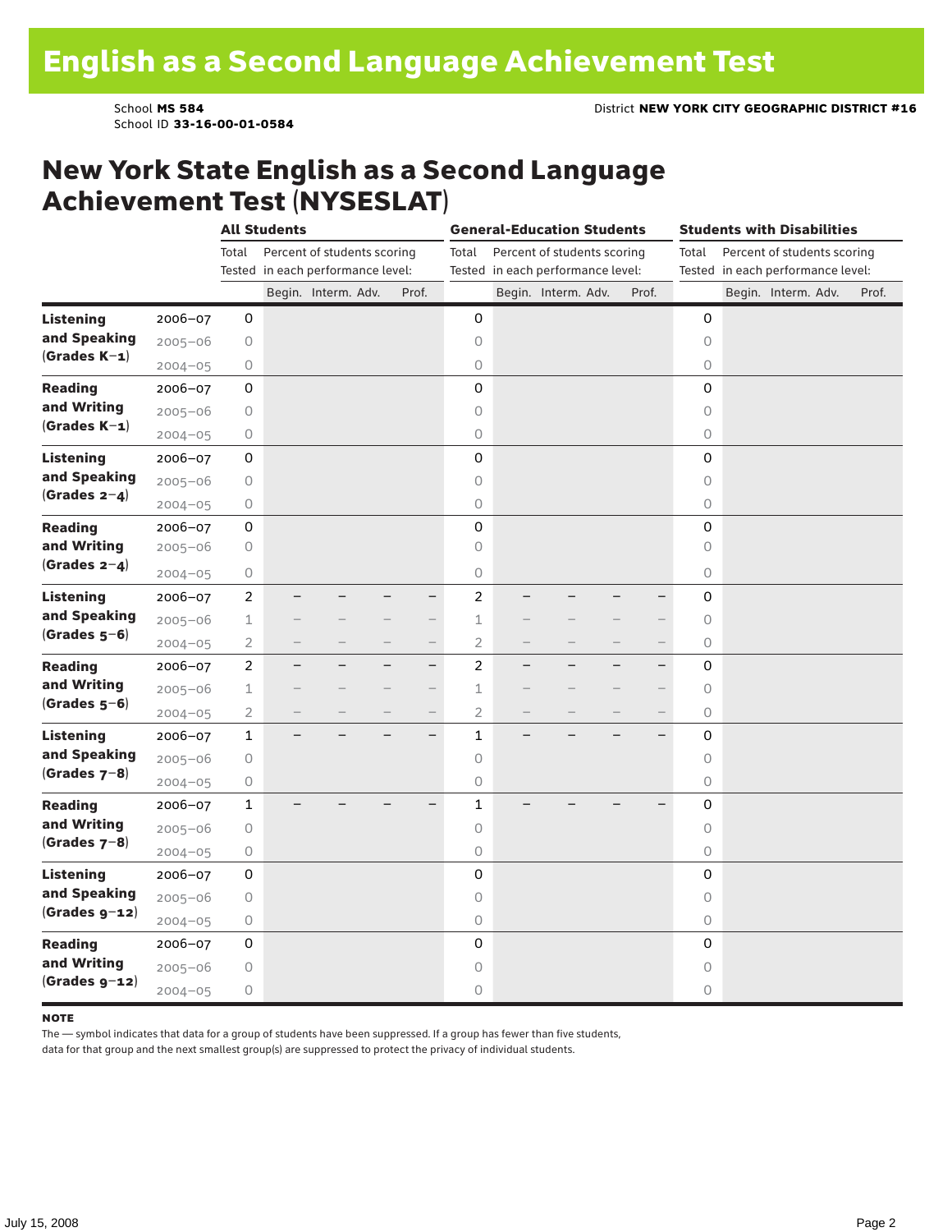School ID **33-16-00-01-0584**

### New York State English as a Second Language Achievement Test (NYSESLAT)

|                  |             | <b>All Students</b> |  |                                   |  |                          | <b>General-Education Students</b> |  |                                   |  |                          | <b>Students with Disabilities</b> |  |                     |                                   |       |
|------------------|-------------|---------------------|--|-----------------------------------|--|--------------------------|-----------------------------------|--|-----------------------------------|--|--------------------------|-----------------------------------|--|---------------------|-----------------------------------|-------|
|                  |             | Total               |  | Percent of students scoring       |  |                          | Total                             |  | Percent of students scoring       |  |                          | Total                             |  |                     | Percent of students scoring       |       |
|                  |             |                     |  | Tested in each performance level: |  |                          |                                   |  | Tested in each performance level: |  |                          |                                   |  |                     | Tested in each performance level: |       |
|                  |             |                     |  | Begin. Interm. Adv.               |  | Prof.                    |                                   |  | Begin. Interm. Adv.               |  | Prof.                    |                                   |  | Begin. Interm. Adv. |                                   | Prof. |
| <b>Listening</b> | 2006-07     | 0                   |  |                                   |  |                          | 0                                 |  |                                   |  |                          | $\mathbf 0$                       |  |                     |                                   |       |
| and Speaking     | $2005 - 06$ | 0                   |  |                                   |  |                          | 0                                 |  |                                   |  |                          | $\circ$                           |  |                     |                                   |       |
| $(Grades K-1)$   | $2004 - 05$ | 0                   |  |                                   |  |                          | 0                                 |  |                                   |  |                          | 0                                 |  |                     |                                   |       |
| <b>Reading</b>   | 2006-07     | 0                   |  |                                   |  |                          | 0                                 |  |                                   |  |                          | 0                                 |  |                     |                                   |       |
| and Writing      | $2005 - 06$ | 0                   |  |                                   |  |                          | $\circ$                           |  |                                   |  |                          | $\circ$                           |  |                     |                                   |       |
| $(Grades K-1)$   | $2004 - 05$ | 0                   |  |                                   |  |                          | $\circ$                           |  |                                   |  |                          | 0                                 |  |                     |                                   |       |
| <b>Listening</b> | $2006 - 07$ | 0                   |  |                                   |  |                          | 0                                 |  |                                   |  |                          | 0                                 |  |                     |                                   |       |
| and Speaking     | $2005 - 06$ | 0                   |  |                                   |  |                          | $\circ$                           |  |                                   |  |                          | $\mathsf O$                       |  |                     |                                   |       |
| (Grades $2-4$ )  | $2004 - 05$ | 0                   |  |                                   |  |                          | $\bigcirc$                        |  |                                   |  |                          | $\circ$                           |  |                     |                                   |       |
| <b>Reading</b>   | 2006-07     | 0                   |  |                                   |  |                          | 0                                 |  |                                   |  |                          | 0                                 |  |                     |                                   |       |
| and Writing      | $2005 - 06$ | 0                   |  |                                   |  |                          | 0                                 |  |                                   |  |                          | $\circ$                           |  |                     |                                   |       |
| (Grades $2-4$ )  | $2004 - 05$ | 0                   |  |                                   |  |                          | $\circ$                           |  |                                   |  |                          | 0                                 |  |                     |                                   |       |
| <b>Listening</b> | 2006-07     | $\overline{c}$      |  |                                   |  | $\overline{\phantom{0}}$ | $\overline{c}$                    |  |                                   |  |                          | 0                                 |  |                     |                                   |       |
| and Speaking     | $2005 - 06$ | $\mathbf 1$         |  |                                   |  | $-$                      | $\mathbf 1$                       |  |                                   |  | $\overline{\phantom{0}}$ | 0                                 |  |                     |                                   |       |
| $(Grades 5-6)$   | $2004 - 05$ | $\overline{2}$      |  |                                   |  | $\overline{\phantom{0}}$ | $\overline{2}$                    |  |                                   |  | $\overline{\phantom{0}}$ | 0                                 |  |                     |                                   |       |
| <b>Reading</b>   | $2006 - 07$ | $\overline{c}$      |  |                                   |  | $\overline{\phantom{0}}$ | $\overline{c}$                    |  |                                   |  | $\overline{\phantom{0}}$ | 0                                 |  |                     |                                   |       |
| and Writing      | $2005 - 06$ | $\mathbf 1$         |  |                                   |  | $\overline{\phantom{0}}$ | $\mathbf 1$                       |  |                                   |  | $\overline{\phantom{0}}$ | $\circ$                           |  |                     |                                   |       |
| $(Grades 5-6)$   | $2004 - 05$ | $\overline{2}$      |  |                                   |  | $\qquad \qquad -$        | $\overline{2}$                    |  |                                   |  | $\overline{\phantom{0}}$ | $\circ$                           |  |                     |                                   |       |
| <b>Listening</b> | 2006-07     | $\mathbf{1}$        |  |                                   |  | $\overline{\phantom{0}}$ | $\mathbf{1}$                      |  |                                   |  |                          | 0                                 |  |                     |                                   |       |
| and Speaking     | $2005 - 06$ | 0                   |  |                                   |  |                          | $\circ$                           |  |                                   |  |                          | $\circ$                           |  |                     |                                   |       |
| $(Grades 7-8)$   | $2004 - 05$ | 0                   |  |                                   |  |                          | 0                                 |  |                                   |  |                          | 0                                 |  |                     |                                   |       |
| <b>Reading</b>   | $2006 - 07$ | $\mathbf{1}$        |  |                                   |  |                          | $\mathbf{1}$                      |  |                                   |  |                          | 0                                 |  |                     |                                   |       |
| and Writing      | $2005 - 06$ | 0                   |  |                                   |  |                          | $\circ$                           |  |                                   |  |                          | $\circ$                           |  |                     |                                   |       |
| $(Grades 7-8)$   | $2004 - 05$ | 0                   |  |                                   |  |                          | $\circ$                           |  |                                   |  |                          | 0                                 |  |                     |                                   |       |
| <b>Listening</b> | 2006-07     | 0                   |  |                                   |  |                          | 0                                 |  |                                   |  |                          | 0                                 |  |                     |                                   |       |
| and Speaking     | $2005 - 06$ | 0                   |  |                                   |  |                          | $\circ$                           |  |                                   |  |                          | $\circ$                           |  |                     |                                   |       |
| $(Grades g-12)$  | $2004 - 05$ | 0                   |  |                                   |  |                          | $\bigcirc$                        |  |                                   |  |                          | 0                                 |  |                     |                                   |       |
| <b>Reading</b>   | 2006-07     | 0                   |  |                                   |  |                          | 0                                 |  |                                   |  |                          | 0                                 |  |                     |                                   |       |
| and Writing      | $2005 - 06$ | 0                   |  |                                   |  |                          | 0                                 |  |                                   |  |                          | $\circ$                           |  |                     |                                   |       |
| $(Grades g-12)$  | $2004 - 05$ | 0                   |  |                                   |  |                          | $\circ$                           |  |                                   |  |                          | 0                                 |  |                     |                                   |       |

#### **NOTE**

The — symbol indicates that data for a group of students have been suppressed. If a group has fewer than five students,

data for that group and the next smallest group(s) are suppressed to protect the privacy of individual students.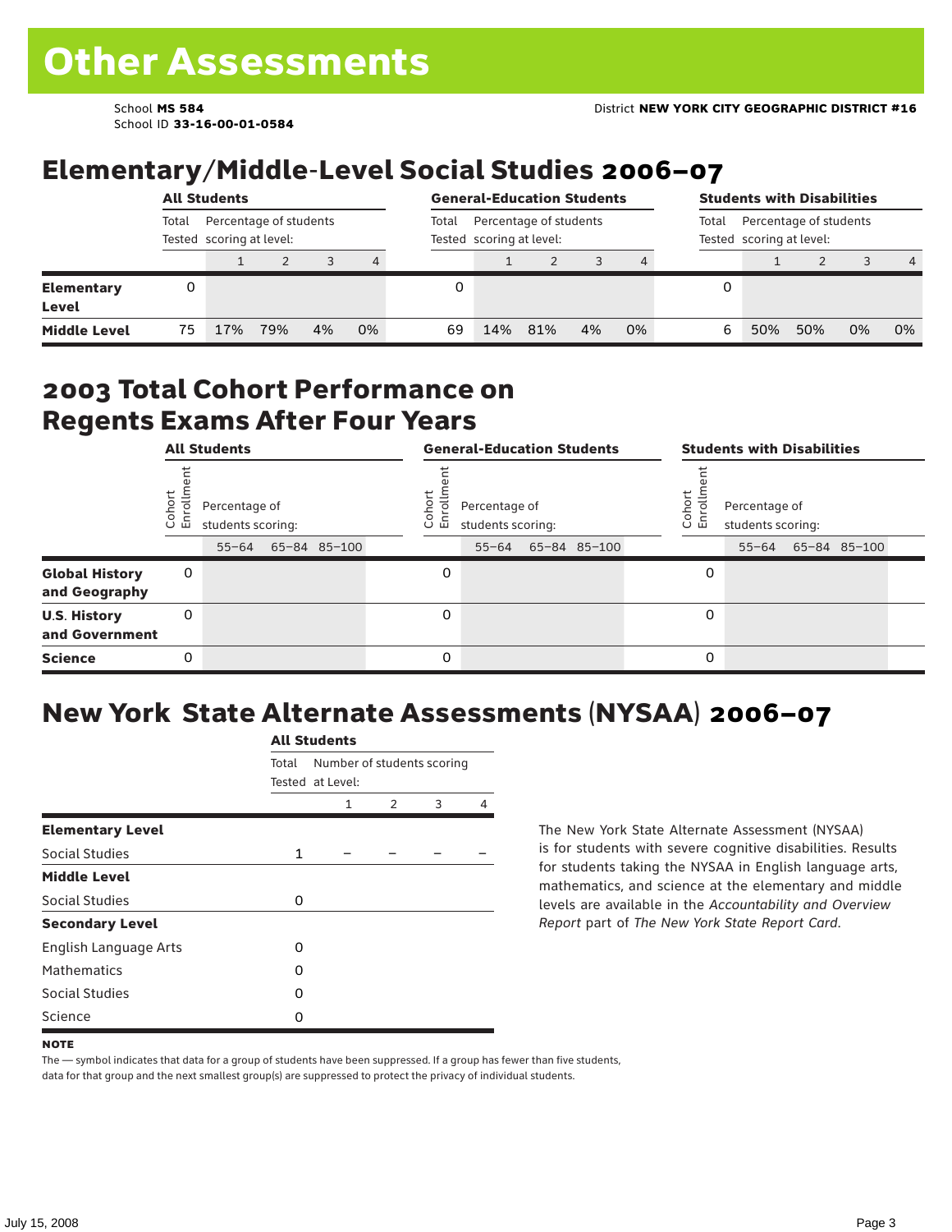School ID **33-16-00-01-0584**

## Elementary/Middle-Level Social Studies 2006–07

|                            | <b>All Students</b> |                                                    |     |       |                                                    |    | <b>General-Education Students</b> |     |    |                                                             |   | <b>Students with Disabilities</b> |     |    |                |  |
|----------------------------|---------------------|----------------------------------------------------|-----|-------|----------------------------------------------------|----|-----------------------------------|-----|----|-------------------------------------------------------------|---|-----------------------------------|-----|----|----------------|--|
|                            | Total               | Percentage of students<br>Tested scoring at level: |     | Total | Percentage of students<br>Tested scoring at level: |    |                                   |     |    | Percentage of students<br>Total<br>Tested scoring at level: |   |                                   |     |    |                |  |
|                            |                     |                                                    |     | 3     | 4                                                  |    |                                   |     |    |                                                             |   |                                   |     |    | $\overline{4}$ |  |
| <b>Elementary</b><br>Level |                     |                                                    |     |       |                                                    |    |                                   |     |    |                                                             | 0 |                                   |     |    |                |  |
| <b>Middle Level</b>        | 75                  | 17%                                                | 79% | 4%    | 0%                                                 | 69 | 14%                               | 81% | 4% | 0%                                                          | 6 | 50%                               | 50% | 0% | 0%             |  |

#### 2003 Total Cohort Performance on Regents Exams After Four Years

|                                        |                                                         | <b>All Students</b> |  |                  | <b>General-Education Students</b>  |           |  |                                                        |  | <b>Students with Disabilities</b> |  |  |                    |  |
|----------------------------------------|---------------------------------------------------------|---------------------|--|------------------|------------------------------------|-----------|--|--------------------------------------------------------|--|-----------------------------------|--|--|--------------------|--|
|                                        | Cohort<br>Enrollm<br>Percentage of<br>students scoring: |                     |  | Cohoi<br>o.<br>屲 | Percentage of<br>students scoring: |           |  | Cohort<br>Percentage of<br>S<br>멷<br>students scoring: |  |                                   |  |  |                    |  |
|                                        |                                                         | $55 - 64$           |  | 65-84 85-100     |                                    | $55 - 64$ |  | 65-84 85-100                                           |  |                                   |  |  | 55-64 65-84 85-100 |  |
| <b>Global History</b><br>and Geography | 0                                                       |                     |  |                  | 0                                  |           |  |                                                        |  | 0                                 |  |  |                    |  |
| <b>U.S. History</b><br>and Government  | 0                                                       |                     |  |                  | 0                                  |           |  |                                                        |  | 0                                 |  |  |                    |  |
| <b>Science</b>                         | 0                                                       |                     |  |                  | 0                                  |           |  |                                                        |  | 0                                 |  |  |                    |  |

## New York State Alternate Assessments (NYSAA) 2006–07

|                         |              | AIL SLUUCIILS                                  |   |   |   |  |  |  |  |  |  |  |
|-------------------------|--------------|------------------------------------------------|---|---|---|--|--|--|--|--|--|--|
|                         | Total        | Number of students scoring<br>Tested at Level: |   |   |   |  |  |  |  |  |  |  |
|                         |              | 1                                              | 2 | 3 | 4 |  |  |  |  |  |  |  |
| <b>Elementary Level</b> |              |                                                |   |   |   |  |  |  |  |  |  |  |
| <b>Social Studies</b>   | $\mathbf{1}$ |                                                |   |   |   |  |  |  |  |  |  |  |
| <b>Middle Level</b>     |              |                                                |   |   |   |  |  |  |  |  |  |  |
| <b>Social Studies</b>   | 0            |                                                |   |   |   |  |  |  |  |  |  |  |
| <b>Secondary Level</b>  |              |                                                |   |   |   |  |  |  |  |  |  |  |
| English Language Arts   | O            |                                                |   |   |   |  |  |  |  |  |  |  |
| <b>Mathematics</b>      | O            |                                                |   |   |   |  |  |  |  |  |  |  |
| <b>Social Studies</b>   | O            |                                                |   |   |   |  |  |  |  |  |  |  |
| Science                 | Ω            |                                                |   |   |   |  |  |  |  |  |  |  |

All C<sub>tude</sub>

The New York State Alternate Assessment (NYSAA) is for students with severe cognitive disabilities. Results for students taking the NYSAA in English language arts, mathematics, and science at the elementary and middle levels are available in the *Accountability and Overview Report* part of *The New York State Report Card*.

The — symbol indicates that data for a group of students have been suppressed. If a group has fewer than five students, data for that group and the next smallest group(s) are suppressed to protect the privacy of individual students.

**NOTE**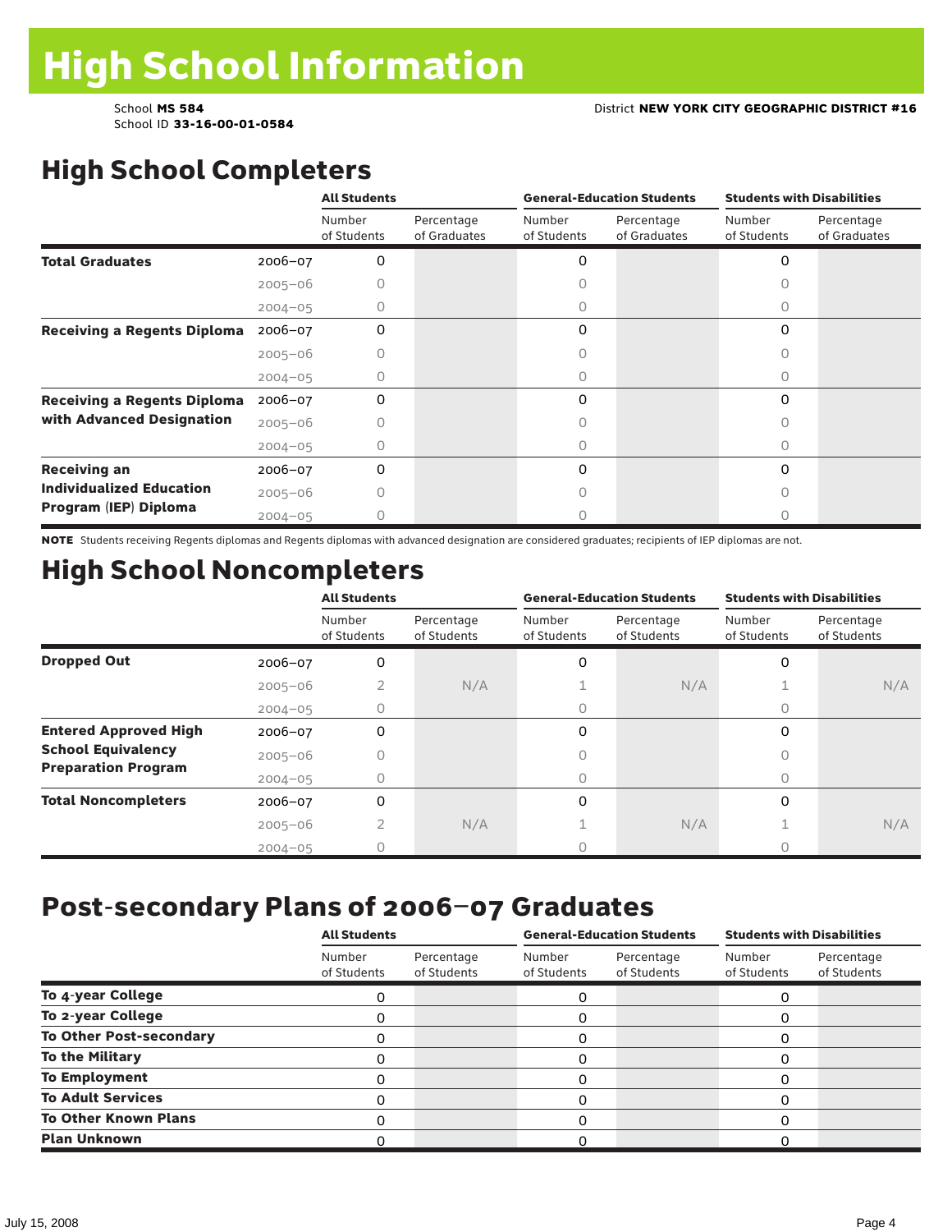# High School Completers

|                                    |             | <b>All Students</b>   |                            |                       | <b>General-Education Students</b> | <b>Students with Disabilities</b> |                            |  |
|------------------------------------|-------------|-----------------------|----------------------------|-----------------------|-----------------------------------|-----------------------------------|----------------------------|--|
|                                    |             | Number<br>of Students | Percentage<br>of Graduates | Number<br>of Students | Percentage<br>of Graduates        | Number<br>of Students             | Percentage<br>of Graduates |  |
| <b>Total Graduates</b>             | $2006 - 07$ | 0                     |                            | 0                     |                                   | 0                                 |                            |  |
|                                    | $2005 - 06$ |                       |                            |                       |                                   |                                   |                            |  |
|                                    | $2004 - 05$ | 0                     |                            | 0                     |                                   | 0                                 |                            |  |
| <b>Receiving a Regents Diploma</b> | $2006 - 07$ | $\Omega$              |                            | 0                     |                                   | $\Omega$                          |                            |  |
|                                    | $2005 - 06$ |                       |                            |                       |                                   | n                                 |                            |  |
|                                    | $2004 - 05$ |                       |                            | O                     |                                   | Ω                                 |                            |  |
| <b>Receiving a Regents Diploma</b> | $2006 - 07$ | 0                     |                            | 0                     |                                   | $\Omega$                          |                            |  |
| with Advanced Designation          | $2005 - 06$ |                       |                            |                       |                                   | Ω                                 |                            |  |
|                                    | $2004 - 05$ |                       |                            |                       |                                   |                                   |                            |  |
| <b>Receiving an</b>                | 2006-07     | 0                     |                            | 0                     |                                   | 0                                 |                            |  |
| <b>Individualized Education</b>    | $2005 - 06$ |                       |                            |                       |                                   |                                   |                            |  |
| Program (IEP) Diploma              | $2004 - 05$ | n                     |                            | 0                     |                                   | Ω                                 |                            |  |

NOTE Students receiving Regents diplomas and Regents diplomas with advanced designation are considered graduates; recipients of IEP diplomas are not.

# High School Noncompleters

|                              |             | <b>All Students</b>   |                           |                       | <b>General-Education Students</b> | <b>Students with Disabilities</b> |                           |  |
|------------------------------|-------------|-----------------------|---------------------------|-----------------------|-----------------------------------|-----------------------------------|---------------------------|--|
|                              |             | Number<br>of Students | Percentage<br>of Students | Number<br>of Students | Percentage<br>of Students         | Number<br>of Students             | Percentage<br>of Students |  |
| <b>Dropped Out</b>           | 2006-07     | 0                     |                           | 0                     |                                   | 0                                 |                           |  |
|                              | $2005 - 06$ | 2                     | N/A                       |                       | N/A                               |                                   | N/A                       |  |
|                              | $2004 - 05$ | 0                     |                           | 0                     |                                   | 0                                 |                           |  |
| <b>Entered Approved High</b> | 2006-07     | 0                     |                           | 0                     |                                   | 0                                 |                           |  |
| <b>School Equivalency</b>    | $2005 - 06$ |                       |                           |                       |                                   |                                   |                           |  |
| <b>Preparation Program</b>   | $2004 - 05$ | 0                     |                           | 0                     |                                   | 0                                 |                           |  |
| <b>Total Noncompleters</b>   | 2006-07     | 0                     |                           | 0                     |                                   | 0                                 |                           |  |
|                              | $2005 - 06$ | 2                     | N/A                       |                       | N/A                               |                                   | N/A                       |  |
|                              | $2004 - 05$ |                       |                           |                       |                                   |                                   |                           |  |

## Post-secondary Plans of 2006–07 Graduates

|                                | <b>All Students</b>   |                           |                       | <b>General-Education Students</b> | <b>Students with Disabilities</b> |                           |  |
|--------------------------------|-----------------------|---------------------------|-----------------------|-----------------------------------|-----------------------------------|---------------------------|--|
|                                | Number<br>of Students | Percentage<br>of Students | Number<br>of Students | Percentage<br>of Students         | Number<br>of Students             | Percentage<br>of Students |  |
| To 4-year College              | 0                     |                           | 0                     |                                   | 0                                 |                           |  |
| To 2-year College              |                       |                           | 0                     |                                   | O                                 |                           |  |
| <b>To Other Post-secondary</b> | 0                     |                           | 0                     |                                   | 0                                 |                           |  |
| <b>To the Military</b>         | 0                     |                           | 0                     |                                   | 0                                 |                           |  |
| <b>To Employment</b>           |                       |                           | 0                     |                                   | $\Omega$                          |                           |  |
| <b>To Adult Services</b>       | Ω                     |                           | 0                     |                                   | 0                                 |                           |  |
| <b>To Other Known Plans</b>    |                       |                           | 0                     |                                   | $\Omega$                          |                           |  |
| <b>Plan Unknown</b>            |                       |                           | O                     |                                   |                                   |                           |  |